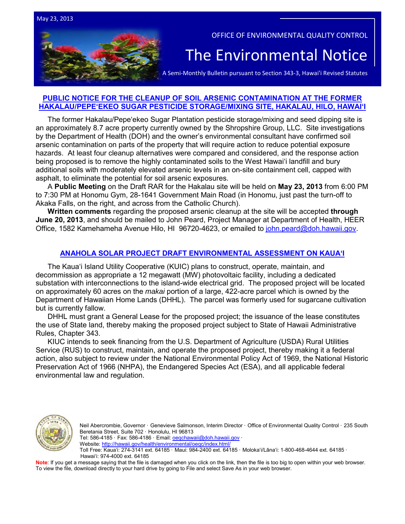OFFICE OF ENVIRONMENTAL QUALITY CONTROL

# The Environmental Notice<br>A Semi-Monthly Bulletin pursuant to Section 343-3, Hawai'i Revised Statutes

## **[PUBLIC NOTICE FOR THE CLEANUP OF SOIL ARSENIC CONTAMINATION AT THE FORMER](http://oeqc.doh.hawaii.gov/Shared%20Documents/EA_and_EIS_Online_Library/NEPA%20and%20Other%20Documents/2013-05-23-HEER-Public-Notice-Hakalau-Pepeekeo-Soil-Cleanup.pdf)  [HAKALAU/PEPE'EKEO SUGAR PESTICIDE](http://oeqc.doh.hawaii.gov/Shared%20Documents/EA_and_EIS_Online_Library/NEPA%20and%20Other%20Documents/2013-05-23-HEER-Public-Notice-Hakalau-Pepeekeo-Soil-Cleanup.pdf) STORAGE/MIXING SITE, HAKALAU, HILO, HAWAI'I**

The former Hakalau/Pepe'ekeo Sugar Plantation pesticide storage/mixing and seed dipping site is an approximately 8.7 acre property currently owned by the Shropshire Group, LLC. Site investigations by the Department of Health (DOH) and the owner's environmental consultant have confirmed soil arsenic contamination on parts of the property that will require action to reduce potential exposure hazards. At least four cleanup alternatives were compared and considered, and the response action being proposed is to remove the highly contaminated soils to the West Hawaiʻi landfill and bury additional soils with moderately elevated arsenic levels in an on-site containment cell, capped with asphalt, to eliminate the potential for soil arsenic exposures.

A **Public Meeting** on the Draft RAR for the Hakalau site will be held on **May 23, 2013** from 6:00 PM to 7:30 PM at Honomu Gym, 28-1641 Government Main Road (in Honomu, just past the turn-off to Akaka Falls, on the right, and across from the Catholic Church).

**Written comments** regarding the proposed arsenic cleanup at the site will be accepted **through June 20, 2013**, and should be mailed to John Peard, Project Manager at Department of Health, HEER Office, 1582 Kamehameha Avenue Hilo, HI 96720-4623, or emailed to [john.peard@doh.hawaii.gov.](mailto:john.peard@doh.hawaii.gov)

## **ANAHOLA SOLAR PROJECT [DRAFT ENVIRONMENTAL ASSESSMENT](http://oeqc.doh.hawaii.gov/Shared%20Documents/EA_and_EIS_Online_Library/Kauai/2010s/2013-05-23-KA-DEA-5E-Anahola-Solar-Project.pdf) ON KAUAʻI**

The Kauaʻi Island Utility Cooperative (KUIC) plans to construct, operate, maintain, and decommission as appropriate a 12 megawatt (MW) photovoltaic facility, including a dedicated substation with interconnections to the island-wide electrical grid. The proposed project will be located on approximately 60 acres on the *makai* portion of a large, 422-acre parcel which is owned by the Department of Hawaiian Home Lands (DHHL). The parcel was formerly used for sugarcane cultivation but is currently fallow.

DHHL must grant a General Lease for the proposed project; the issuance of the lease constitutes the use of State land, thereby making the proposed project subject to State of Hawaii Administrative Rules, Chapter 343.

KIUC intends to seek financing from the U.S. Department of Agriculture (USDA) Rural Utilities Service (RUS) to construct, maintain, and operate the proposed project, thereby making it a federal action, also subject to review under the National Environmental Policy Act of 1969, the National Historic Preservation Act of 1966 (NHPA), the Endangered Species Act (ESA), and all applicable federal environmental law and regulation.



Neil Abercrombie, Governor · Genevieve Salmonson, Interim Director · Office of Environmental Quality Control · 235 South Beretania Street, Suite 702 · Honolulu, HI 96813 Tel: 586-4185 · Fax: 586-4186 · Email: oegchawaii@doh.hawaii.gov · Website:<http://hawaii.gov/health/environmental/oeqc/index.html/>

Toll Free: Kauaʻi: 274-3141 ext. 64185 · Maui: 984-2400 ext. 64185 · Molokaʻi/Lānaʻi: 1-800-468-4644 ext. 64185 · Hawaiʻi: 974-4000 ext. 64185

Note: If you get a message saying that the file is damaged when you click on the link, then the file is too big to open within your web browser. To view the file, download directly to your hard drive by going to File and select Save As in your web browser.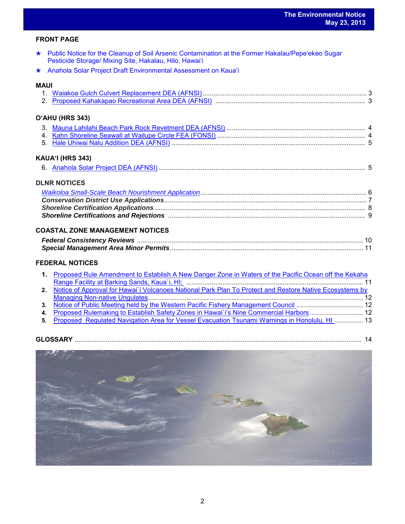## **FRONT PAGE**

- ★ [Public Notice for the Cleanup of Soil Arsenic Contamination at the Former Hakalau/Pepe'ekeo Sugar](http://oeqc.doh.hawaii.gov/Shared%20Documents/EA_and_EIS_Online_Library/NEPA%20and%20Other%20Documents/2013-05-23-HEER-Public-Notice-Hakalau-Pepeekeo-Soil-Cleanup.pdf)  [Pesticide Storage/ Mixing Site, Hakalau, Hilo, Hawai'i](http://oeqc.doh.hawaii.gov/Shared%20Documents/EA_and_EIS_Online_Library/NEPA%20and%20Other%20Documents/2013-05-23-HEER-Public-Notice-Hakalau-Pepeekeo-Soil-Cleanup.pdf)
- ★ Anahola Solar Project [Draft Environmental Assessment on Kauaʻi](http://oeqc.doh.hawaii.gov/Shared%20Documents/EA_and_EIS_Online_Library/Kauai/2010s/2013-05-23-KA-DEA-5E-Anahola-Solar-Project.pdf)

## **MAUI**

## **OʻAHU (HRS 343)**

# **KAUAʻI (HRS 343)**

|--|--|--|--|

# **DLNR NOTICES**

# **COASTAL ZONE MANAGEMENT NOTICES**

## **FEDERAL NOTICES**

| 1. Proposed Rule Amendment to Establish A New Danger Zone in Waters of the Pacific Ocean off the Kekaha    |  |
|------------------------------------------------------------------------------------------------------------|--|
|                                                                                                            |  |
| 2. Notice of Approval for Hawai'i Volcanoes National Park Plan To Protect and Restore Native Ecosystems by |  |
|                                                                                                            |  |
|                                                                                                            |  |
| 4. Proposed Rulemaking to Establish Safety Zones in Hawai i's Nine Commercial Harbors  12                  |  |
| 그는 그 그는 그 사람이 없어서 그 사람들을 하고 있다. 그는 그 사람들은 그 사람들은 그 사람들을 지켜 보고 있다. 그는 그 사람들은 그 사람들은 그 사람들을 지켜 보고 있다.        |  |

**5.** [Proposed Regulated Navigation Area for Vessel Evacuation](http://www.gpo.gov/fdsys/pkg/FR-2013-05-14/pdf/2013-11233.pdf) Tsunami Warnings in Honolulu, HI ................. 13

| <b>GLOSSARY</b> |  |
|-----------------|--|
|                 |  |

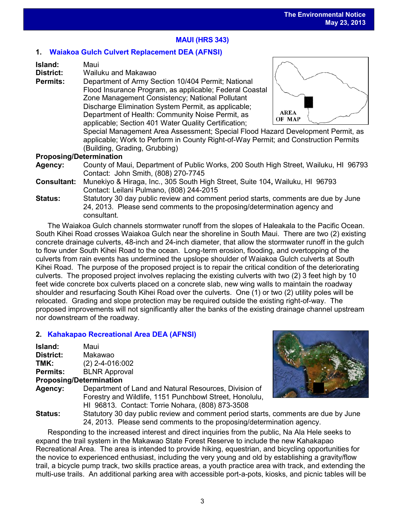# **MAUI (HRS 343)**

# **1. [Waiakoa Gulch Culvert Replacement DEA \(AFNSI\)](http://oeqc.doh.hawaii.gov/Shared%20Documents/EA_and_EIS_Online_Library/Maui/2010s/2013-05-23-MA-5B-DEA-Waiakoa-Gulch-Culvert-Replacement.pdf)**

| Island: | Maui |
|---------|------|
|---------|------|

**District:** Wailuku and Makawao

**Permits:** Department of Army Section 10/404 Permit; National Flood Insurance Program, as applicable; Federal Coastal Zone Management Consistency; National Pollutant Discharge Elimination System Permit, as applicable; Department of Health: Community Noise Permit, as applicable; Section 401 Water Quality Certification;



Special Management Area Assessment; Special Flood Hazard Development Permit, as applicable; Work to Perform in County Right-of-Way Permit; and Construction Permits (Building, Grading, Grubbing)

## **Proposing/Determination**

- **Agency:** County of Maui, Department of Public Works, 200 South High Street, Wailuku, HI 96793 Contact: John Smith, (808) 270-7745
- **Consultant:** Munekiyo & Hiraga, Inc., 305 South High Street, Suite 104**,** Wailuku, HI 96793 Contact: Leilani Pulmano, (808) 244-2015
- **Status:** Statutory 30 day public review and comment period starts, comments are due by June 24, 2013. Please send comments to the proposing/determination agency and consultant.

The Waiakoa Gulch channels stormwater runoff from the slopes of Haleakala to the Pacific Ocean. South Kihei Road crosses Waiakoa Gulch near the shoreline in South Maui. There are two (2) existing concrete drainage culverts, 48-inch and 24-inch diameter, that allow the stormwater runoff in the gulch to flow under South Kihei Road to the ocean. Long-term erosion, flooding, and overtopping of the culverts from rain events has undermined the upslope shoulder of Waiakoa Gulch culverts at South Kihei Road. The purpose of the proposed project is to repair the critical condition of the deteriorating culverts. The proposed project involves replacing the existing culverts with two (2) 3 feet high by 10 feet wide concrete box culverts placed on a concrete slab, new wing walls to maintain the roadway shoulder and resurfacing South Kihei Road over the culverts. One (1) or two (2) utility poles will be relocated. Grading and slope protection may be required outside the existing right-of-way. The proposed improvements will not significantly alter the banks of the existing drainage channel upstream nor downstream of the roadway.

# **2. [Kahakapao Recreational Area](http://oeqc.doh.hawaii.gov/Shared%20Documents/EA_and_EIS_Online_Library/Maui/2010s/2013-05-23-MA-5B-DEA-Proposed-Kahakapao-Recreational-Area.pdf) DEA (AFNSI)**

| Island:         | Maui                 |
|-----------------|----------------------|
| District:       | Makawao              |
| TMK:            | $(2)$ 2-4-016:002    |
| <b>Permits:</b> | <b>BLNR Approval</b> |
|                 |                      |

## **Proposing/Determination**

**Agency:** Department of Land and Natural Resources, Division of Forestry and Wildlife, 1151 Punchbowl Street, Honolulu, HI 96813. Contact: Torrie Nohara, (808) 873-3508



**Status:** Statutory 30 day public review and comment period starts, comments are due by June 24, 2013. Please send comments to the proposing/determination agency.

Responding to the increased interest and direct inquiries from the public, Na Ala Hele seeks to expand the trail system in the Makawao State Forest Reserve to include the new Kahakapao Recreational Area. The area is intended to provide hiking, equestrian, and bicycling opportunities for the novice to experienced enthusiast, including the very young and old by establishing a gravity/flow trail, a bicycle pump track, two skills practice areas, a youth practice area with track, and extending the multi-use trails. An additional parking area with accessible port-a-pots, kiosks, and picnic tables will be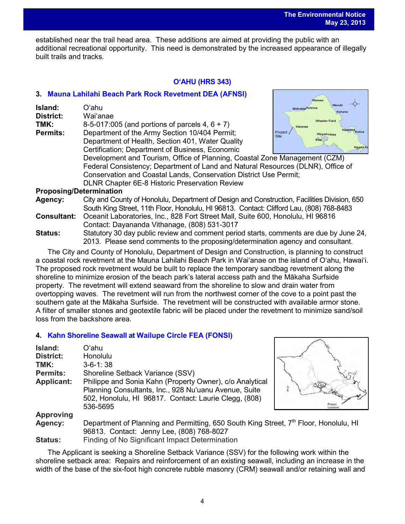established near the trail head area. These additions are aimed at providing the public with an additional recreational opportunity. This need is demonstrated by the increased appearance of illegally built trails and tracks.

# **OʻAHU (HRS 343)**

# **3. [Mauna Lahilahi Beach Park Rock Revetment](http://oeqc.doh.hawaii.gov/Shared%20Documents/EA_and_EIS_Online_Library/Oahu/2010s/2013-05-23-OA-5B-DEA-Mauna-Lahilahi-Beach-Park-Rock-Revetment.pdf) DEA (AFNSI)**

| Island:<br>District: | Oʻahu<br>Wai'anae                                                               | Hauula<br><b>Mokuleja</b> Haleiwa<br>Kahana     |
|----------------------|---------------------------------------------------------------------------------|-------------------------------------------------|
| TMK:                 | 8-5-017:005 (and portions of parcels $4, 6 + 7$ )                               | <b>Wheeler Field</b><br>Waianae                 |
| <b>Permits:</b>      | Department of the Army Section 10/404 Permit;                                   | Kaneoh<br>Project<br>WaipahuAjea<br><b>Site</b> |
|                      | Department of Health, Section 401, Water Quality                                | <b>Ewa</b>                                      |
|                      | Certification; Department of Business, Economic                                 |                                                 |
|                      | Development and Tourism, Office of Planning, Coastal Zone Management (CZM)      |                                                 |
|                      | Federal Consistency; Department of Land and Natural Resources (DLNR), Office of |                                                 |
|                      | Conservation and Coastal Lands, Conservation District Use Permit;               |                                                 |
|                      | DLNR Chapter 6E-8 Historic Preservation Review                                  |                                                 |

## **Proposing/Determination**

- **Agency:** City and County of Honolulu, Department of Design and Construction, Facilities Division, 650 South King Street, 11th Floor, Honolulu, HI 96813. Contact: Clifford Lau, (808) 768-8483
- **Consultant:** Oceanit Laboratories, Inc., 828 Fort Street Mall, Suite 600, Honolulu, HI 96816 Contact: Dayananda Vithanage, (808) 531-3017
- **Status:** Statutory 30 day public review and comment period starts, comments are due by June 24, 2013. Please send comments to the proposing/determination agency and consultant.

The City and County of Honolulu, Department of Design and Construction, is planning to construct a coastal rock revetment at the Mauna Lahilahi Beach Park in Wai'anae on the island of O'ahu, Hawai'i. The proposed rock revetment would be built to replace the temporary sandbag revetment along the shoreline to minimize erosion of the beach park's lateral access path and the Mākaha Surfside property. The revetment will extend seaward from the shoreline to slow and drain water from overtopping waves. The revetment will run from the northwest corner of the cove to a point past the southern gate at the Mākaha Surfside. The revetment will be constructed with available armor stone. A filter of smaller stones and geotextile fabric will be placed under the revetment to minimize sand/soil loss from the backshore area.

# **4. [Kahn Shoreline Seawall at Wailupe Circle FEA \(FONSI\)](http://oeqc.doh.hawaii.gov/Shared%20Documents/EA_and_EIS_Online_Library/Oahu/2010s/2013-05-23-OA-5E-FEA-Kahn-Shoreline-Seawall-at-Wailupe-Circle.pdf)**

| Island:           | Oʻahu                                                                                                                                                                                  |  |
|-------------------|----------------------------------------------------------------------------------------------------------------------------------------------------------------------------------------|--|
| <b>District:</b>  | Honolulu                                                                                                                                                                               |  |
| TMK:              | $3 - 6 - 1$ : 38                                                                                                                                                                       |  |
| <b>Permits:</b>   | Shoreline Setback Variance (SSV)                                                                                                                                                       |  |
| <b>Applicant:</b> | Philippe and Sonia Kahn (Property Owner), c/o Analytical<br>Planning Consultants, Inc., 928 Nu'uanu Avenue, Suite<br>502, Honolulu, HI 96817. Contact: Laurie Clegg, (808)<br>536-5695 |  |
| <b>Approving</b>  |                                                                                                                                                                                        |  |
| Agency:           | Department of Planning and Permitting, 650 South King Street, 7 <sup>th</sup><br>$0.0040 - 0.015 - 0.0001 = 0.0001$                                                                    |  |



Floor, Honolulu, HI 96813. Contact: Jenny Lee, (808) 768-8027 **Status:** Finding of No Significant Impact Determination

The Applicant is seeking a Shoreline Setback Variance (SSV) for the following work within the shoreline setback area: Repairs and reinforcement of an existing seawall, including an increase in the width of the base of the six-foot high concrete rubble masonry (CRM) seawall and/or retaining wall and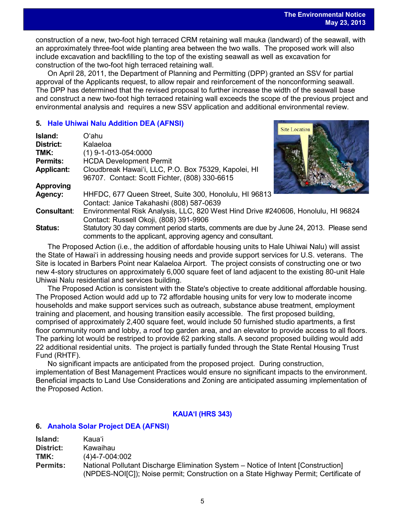Site Location

construction of a new, two-foot high terraced CRM retaining wall mauka (landward) of the seawall, with an approximately three-foot wide planting area between the two walls. The proposed work will also include excavation and backfilling to the top of the existing seawall as well as excavation for construction of the two-foot high terraced retaining wall.

On April 28, 2011, the Department of Planning and Permitting (DPP) granted an SSV for partial approval of the Applicants request, to allow repair and reinforcement of the nonconforming seawall. The DPP has determined that the revised proposal to further increase the width of the seawall base and construct a new two-foot high terraced retaining wall exceeds the scope of the previous project and environmental analysis and requires a new SSV application and additional environmental review.

## **5. [Hale Uhiwai Nalu Addition](http://oeqc.doh.hawaii.gov/Shared%20Documents/EA_and_EIS_Online_Library/Oahu/2010s/2013-05-23-OA-5E-DEA-Hale-Uhiwai-Nalu-Addition-Kalaeloa.pdf) DEA (AFNSI)**

| Island:            | Oʻahu                                                                                  |  |
|--------------------|----------------------------------------------------------------------------------------|--|
| <b>District:</b>   | Kalaeloa                                                                               |  |
| TMK:               | $(1)$ 9-1-013-054:0000                                                                 |  |
| <b>Permits:</b>    | <b>HCDA Development Permit</b>                                                         |  |
| <b>Applicant:</b>  | Cloudbreak Hawai'i, LLC, P.O. Box 75329, Kapolei, HI                                   |  |
|                    | 96707. Contact: Scott Fichter, (808) 330-6615                                          |  |
| <b>Approving</b>   |                                                                                        |  |
| Agency:            | HHFDC, 677 Queen Street, Suite 300, Honolulu, HI 96813                                 |  |
|                    | Contact: Janice Takahashi (808) 587-0639                                               |  |
| <b>Consultant:</b> | Environmental Risk Analysis, LLC, 820 West Hind Drive #240606, Honolulu, HI 96824      |  |
|                    | Contact: Russell Okoji, (808) 391-9906                                                 |  |
| <b>Status:</b>     | Statutory 30 day comment period starts, comments are due by June 24, 2013. Please send |  |
|                    | comments to the applicant, approving agency and consultant.                            |  |

The Proposed Action (i.e., the addition of affordable housing units to Hale Uhiwai Nalu) will assist the State of Hawaiʻi in addressing housing needs and provide support services for U.S. veterans. The Site is located in Barbers Point near Kalaeloa Airport. The project consists of constructing one or two new 4-story structures on approximately 6,000 square feet of land adjacent to the existing 80-unit Hale Uhiwai Nalu residential and services building.

The Proposed Action is consistent with the State's objective to create additional affordable housing. The Proposed Action would add up to 72 affordable housing units for very low to moderate income households and make support services such as outreach, substance abuse treatment, employment training and placement, and housing transition easily accessible. The first proposed building, comprised of approximately 2,400 square feet, would include 50 furnished studio apartments, a first floor community room and lobby, a roof top garden area, and an elevator to provide access to all floors. The parking lot would be restriped to provide 62 parking stalls. A second proposed building would add 22 additional residential units. The project is partially funded through the State Rental Housing Trust Fund (RHTF).

No significant impacts are anticipated from the proposed project. During construction, implementation of Best Management Practices would ensure no significant impacts to the environment. Beneficial impacts to Land Use Considerations and Zoning are anticipated assuming implementation of the Proposed Action.

# **KAUAʻI (HRS 343)**

## **6. [Anahola Solar Project](http://oeqc.doh.hawaii.gov/Shared%20Documents/EA_and_EIS_Online_Library/Kauai/2010s/2013-05-23-KA-DEA-5E-Anahola-Solar-Project.pdf) DEA (AFNSI)**

| Island:         | Kauaʻi                                                                               |
|-----------------|--------------------------------------------------------------------------------------|
| District:       | Kawaihau                                                                             |
| TMK:            | $(4)4 - 7 - 004:002$                                                                 |
| <b>Permits:</b> | National Pollutant Discharge Elimination System – Notice of Intent [Construction]    |
|                 | (NPDES-NOI[C]); Noise permit; Construction on a State Highway Permit; Certificate of |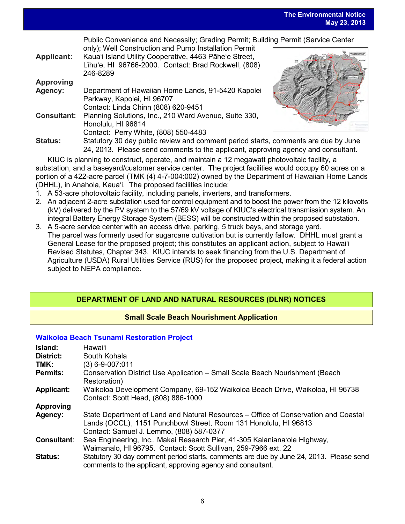**The Environmental Notice May 23, 2013**

Public Convenience and Necessity; Grading Permit; Building Permit (Service Center

| <b>Applicant:</b>  | only); Well Construction and Pump Installation Permit<br>Kaua'i Island Utility Cooperative, 4463 Pāhe'e Street,<br>Līhu'e, HI 96766-2000. Contact: Brad Rockwell, (808)<br>246-8289 |
|--------------------|-------------------------------------------------------------------------------------------------------------------------------------------------------------------------------------|
| <b>Approving</b>   |                                                                                                                                                                                     |
| Agency:            | Department of Hawaiian Home Lands, 91-5420 Kapolei                                                                                                                                  |
|                    | Parkway, Kapolei, HI 96707                                                                                                                                                          |
|                    | Contact: Linda Chinn (808) 620-9451                                                                                                                                                 |
| <b>Consultant:</b> | Planning Solutions, Inc., 210 Ward Avenue, Suite 330,                                                                                                                               |
|                    | Honolulu, HI 96814                                                                                                                                                                  |
|                    | Contact: Perry White, (808) 550-4483                                                                                                                                                |
| <b>Status:</b>     | Statutory 30 day public review and comment period starts                                                                                                                            |
|                    |                                                                                                                                                                                     |



, comments are due by June 24, 2013. Please send comments to the applicant, approving agency and consultant.

KIUC is planning to construct, operate, and maintain a 12 megawatt photovoltaic facility, a substation, and a baseyard/customer service center. The project facilities would occupy 60 acres on a portion of a 422-acre parcel (TMK (4) 4-7-004:002) owned by the Department of Hawaiian Home Lands (DHHL), in Anahola, Kaua'i. The proposed facilities include:

- 1. A 53-acre photovoltaic facility, including panels, inverters, and transformers.
- 2. An adjacent 2-acre substation used for control equipment and to boost the power from the 12 kilovolts (kV) delivered by the PV system to the 57/69 kV voltage of KIUC's electrical transmission system. An integral Battery Energy Storage System (BESS) will be constructed within the proposed substation.
- 3. A 5-acre service center with an access drive, parking, 5 truck bays, and storage yard. The parcel was formerly used for sugarcane cultivation but is currently fallow. DHHL must grant a General Lease for the proposed project; this constitutes an applicant action, subject to Hawaiʻi Revised Statutes, Chapter 343. KIUC intends to seek financing from the U.S. Department of Agriculture (USDA) Rural Utilities Service (RUS) for the proposed project, making it a federal action subject to NEPA compliance.

# **DEPARTMENT OF LAND AND NATURAL RESOURCES (DLNR) NOTICES**

# **Small Scale Beach Nourishment Application**

## **[Waikoloa Beach Tsunami Restoration Project](http://oeqc.doh.hawaii.gov/Shared%20Documents/EA_and_EIS_Online_Library/NEPA%20and%20Other%20Documents/2013-05-23-Waikoloa-Small-Scale-Beach-Nourishment-Project.pdf)**

| <b>Island:</b>           | Hawaiʻi                                                                                                                                                 |
|--------------------------|---------------------------------------------------------------------------------------------------------------------------------------------------------|
| <b>District:</b><br>TMK: | South Kohala                                                                                                                                            |
|                          | (3) 6-9-007:011                                                                                                                                         |
| <b>Permits:</b>          | Conservation District Use Application – Small Scale Beach Nourishment (Beach<br>Restoration)                                                            |
| <b>Applicant:</b>        | Waikoloa Development Company, 69-152 Waikoloa Beach Drive, Waikoloa, HI 96738                                                                           |
|                          | Contact: Scott Head, (808) 886-1000                                                                                                                     |
| Approving                |                                                                                                                                                         |
| Agency:                  | State Department of Land and Natural Resources – Office of Conservation and Coastal<br>Lands (OCCL), 1151 Punchbowl Street, Room 131 Honolulu, HI 96813 |
|                          | Contact: Samuel J. Lemmo, (808) 587-0377                                                                                                                |
| <b>Consultant:</b>       | Sea Engineering, Inc., Makai Research Pier, 41-305 Kalaniana'ole Highway,                                                                               |
|                          | Waimanalo, HI 96795. Contact: Scott Sullivan, 259-7966 ext. 22                                                                                          |
| <b>Status:</b>           | Statutory 30 day comment period starts, comments are due by June 24, 2013. Please send<br>comments to the applicant, approving agency and consultant.   |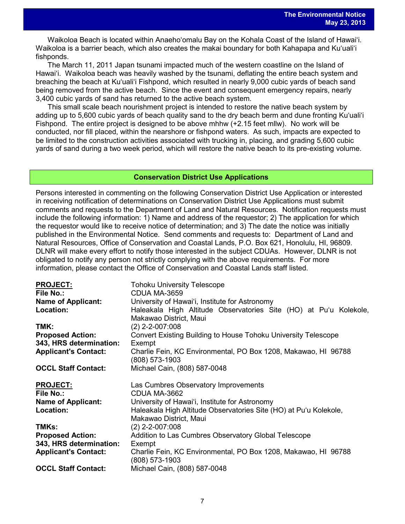Waikoloa Beach is located within Anaehoʻomalu Bay on the Kohala Coast of the Island of Hawaiʻi. Waikoloa is a barrier beach, which also creates the makai boundary for both Kahapapa and Kuʻualiʻi fishponds.

The March 11, 2011 Japan tsunami impacted much of the western coastline on the Island of Hawaiʻi. Waikoloa beach was heavily washed by the tsunami, deflating the entire beach system and breaching the beach at Kuʻualiʻi Fishpond, which resulted in nearly 9,000 cubic yards of beach sand being removed from the active beach. Since the event and consequent emergency repairs, nearly 3,400 cubic yards of sand has returned to the active beach system.

This small scale beach nourishment project is intended to restore the native beach system by adding up to 5,600 cubic yards of beach quality sand to the dry beach berm and dune fronting Kuʻualiʻi Fishpond. The entire project is designed to be above mhhw  $(+2.15$  feet mllw). No work will be conducted, nor fill placed, within the nearshore or fishpond waters. As such, impacts are expected to be limited to the construction activities associated with trucking in, placing, and grading 5,600 cubic yards of sand during a two week period, which will restore the native beach to its pre-existing volume.

#### **Conservation District Use Applications**

Persons interested in commenting on the following Conservation District Use Application or interested in receiving notification of determinations on Conservation District Use Applications must submit comments and requests to the Department of Land and Natural Resources. Notification requests must include the following information: 1) Name and address of the requestor; 2) The application for which the requestor would like to receive notice of determination; and 3) The date the notice was initially published in the Environmental Notice. Send comments and requests to: Department of Land and Natural Resources, Office of Conservation and Coastal Lands, P.O. Box 621, Honolulu, HI, 96809. DLNR will make every effort to notify those interested in the subject CDUAs. However, DLNR is not obligated to notify any person not strictly complying with the above requirements. For more information, please contact the Office of Conservation and Coastal Lands staff listed.

| <b>PROJECT:</b>             | <b>Tohoku University Telescope</b>                                |
|-----------------------------|-------------------------------------------------------------------|
| File No.:                   | CDUA MA-3659                                                      |
| <b>Name of Applicant:</b>   | University of Hawai'i, Institute for Astronomy                    |
| Location:                   | Haleakala High Altitude Observatories Site (HO) at Pu'u Kolekole, |
|                             | Makawao District, Maui                                            |
| TMK:                        | $(2)$ 2-2-007:008                                                 |
| <b>Proposed Action:</b>     | Convert Existing Building to House Tohoku University Telescope    |
| 343, HRS determination:     | Exempt                                                            |
| <b>Applicant's Contact:</b> | Charlie Fein, KC Environmental, PO Box 1208, Makawao, HI 96788    |
|                             | (808) 573-1903                                                    |
| <b>OCCL Staff Contact:</b>  | Michael Cain, (808) 587-0048                                      |
|                             |                                                                   |
|                             |                                                                   |
| <b>PROJECT:</b>             | Las Cumbres Observatory Improvements                              |
| File No.:                   | CDUA MA-3662                                                      |
| <b>Name of Applicant:</b>   | University of Hawai'i, Institute for Astronomy                    |
| Location:                   | Haleakala High Altitude Observatories Site (HO) at Pu'u Kolekole, |
|                             | Makawao District, Maui                                            |
| TMKs:                       | $(2)$ 2-2-007:008                                                 |
| <b>Proposed Action:</b>     | Addition to Las Cumbres Observatory Global Telescope              |
| 343, HRS determination:     | Exempt                                                            |
| <b>Applicant's Contact:</b> | Charlie Fein, KC Environmental, PO Box 1208, Makawao, HI 96788    |
| <b>OCCL Staff Contact:</b>  | (808) 573-1903<br>Michael Cain, (808) 587-0048                    |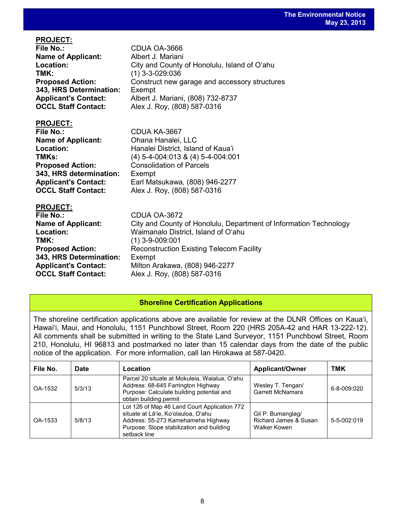| <b>File No.:</b>            | CDUA OA-3666                                                      |
|-----------------------------|-------------------------------------------------------------------|
| <b>Name of Applicant:</b>   | Albert J. Mariani                                                 |
| Location:                   | City and County of Honolulu, Island of O'ahu                      |
| TMK:                        | $(1)$ 3-3-029:036                                                 |
| <b>Proposed Action:</b>     | Construct new garage and accessory structures                     |
| 343, HRS Determination:     | Exempt                                                            |
| <b>Applicant's Contact:</b> | Albert J. Mariani, (808) 732-8737                                 |
| <b>OCCL Staff Contact:</b>  | Alex J. Roy, (808) 587-0316                                       |
|                             |                                                                   |
| <b>PROJECT:</b>             |                                                                   |
| <b>File No.:</b>            | CDUA KA-3667                                                      |
| <b>Name of Applicant:</b>   | Ohana Hanalei, LLC                                                |
| Location:                   | Hanalei District, Island of Kaua'i                                |
| TMKs:                       | $(4)$ 5-4-004:013 & $(4)$ 5-4-004:001                             |
| <b>Proposed Action:</b>     | <b>Consolidation of Parcels</b>                                   |
| 343, HRS determination:     |                                                                   |
|                             | Exempt                                                            |
| <b>Applicant's Contact:</b> | Earl Matsukawa, (808) 946-2277                                    |
| <b>OCCL Staff Contact:</b>  | Alex J. Roy, (808) 587-0316                                       |
| <b>PROJECT:</b>             |                                                                   |
| <b>File No.:</b>            | CDUA OA-3672                                                      |
| <b>Name of Applicant:</b>   | City and County of Honolulu, Department of Information Technology |
| Location:                   | Waimanalo District, Island of O'ahu                               |
| TMK:                        |                                                                   |
|                             | $(1)$ 3-9-009:001                                                 |
| <b>Proposed Action:</b>     | <b>Reconstruction Existing Telecom Facility</b>                   |
| 343, HRS Determination:     | Exempt                                                            |
| <b>Applicant's Contact:</b> | Milton Arakawa, (808) 946-2277                                    |
| <b>OCCL Staff Contact:</b>  | Alex J. Roy, (808) 587-0316                                       |

**PROJECT:**

# **Shoreline Certification Applications**

The shoreline certification applications above are available for review at the DLNR Offices on Kauaʻi, Hawaiʻi, Maui, and Honolulu, 1151 Punchbowl Street, Room 220 (HRS 205A-42 and HAR 13-222-12). All comments shall be submitted in writing to the State Land Surveyor, 1151 Punchbowl Street, Room 210, Honolulu, HI 96813 and postmarked no later than 15 calendar days from the date of the public notice of the application. For more information, call Ian Hirokawa at 587-0420.

| File No. | <b>Date</b> | Location                                                                                                                                                                               | <b>Applicant/Owner</b>                                     | TMK               |
|----------|-------------|----------------------------------------------------------------------------------------------------------------------------------------------------------------------------------------|------------------------------------------------------------|-------------------|
| OA-1532  | 5/3/13      | Parcel 20 situate at Mokuleia, Waialua, O'ahu<br>Address: 68-645 Farrington Highway<br>Purpose: Calculate building potential and<br>obtain building permit                             | Wesley T. Tengan/<br>Garrett McNamara                      | $6 - 8 - 009:020$ |
| OA-1533  | 5/8/13      | Lot 126 of Map 46 Land Court Application 772<br>situate at Lā'ie, Ko'olauloa, O'ahu<br>Address: 55-273 Kamehameha Highway<br>Purpose: Slope stabilization and building<br>setback line | Gil P. Bumanglag/<br>Richard James & Susan<br>Walker Kowen | 5-5-002:019       |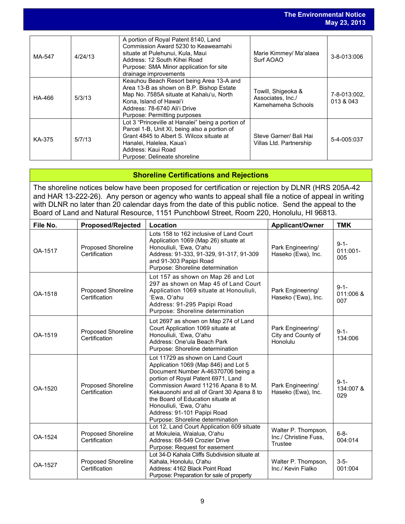|        |         |                                                                                                                                                                                                                                  |                                                               | May 23, 2013              |
|--------|---------|----------------------------------------------------------------------------------------------------------------------------------------------------------------------------------------------------------------------------------|---------------------------------------------------------------|---------------------------|
| MA-547 | 4/24/13 | A portion of Royal Patent 8140, Land<br>Commission Award 5230 to Keaweamahi<br>situate at Pulehunui, Kula, Maui<br>Address: 12 South Kihei Road<br>Purpose: SMA Minor application for site<br>drainage improvements              | Marie Kimmey/ Ma'alaea<br>Surf AOAO                           | 3-8-013:006               |
| HA-466 | 5/3/13  | Keauhou Beach Resort being Area 13-A and<br>Area 13-B as shown on B.P. Bishop Estate<br>Map No. 7585A situate at Kahalu'u, North<br>Kona, Island of Hawai'i<br>Address: 78-6740 Ali'i Drive<br>Purpose: Permitting purposes      | Towill, Shigeoka &<br>Associates, Inc./<br>Kamehameha Schools | 7-8-013:002.<br>013 & 043 |
| KA-375 | 5/7/13  | Lot 3 "Princeville at Hanalei" being a portion of<br>Parcel 1-B, Unit XI, being also a portion of<br>Grant 4845 to Albert S. Wilcox situate at<br>Hanalei, Halelea, Kaua'i<br>Address: Kaui Road<br>Purpose: Delineate shoreline | Steve Garner/ Bali Hai<br>Villas Ltd. Partnership             | 5-4-005:037               |

**The Environmental Notice**

# **Shoreline Certifications and Rejections**

The shoreline notices below have been proposed for certification or rejection by DLNR (HRS 205A-42 and HAR 13-222-26). Any person or agency who wants to appeal shall file a notice of appeal in writing with DLNR no later than 20 calendar days from the date of this public notice. Send the appeal to the Board of Land and Natural Resource, 1151 Punchbowl Street, Room 220, Honolulu, HI 96813.

| File No. | <b>Proposed/Rejected</b>                   | Location                                                                                                                                                                                                                                                                                                                                                                     | <b>Applicant/Owner</b>                                  | <b>TMK</b>                    |
|----------|--------------------------------------------|------------------------------------------------------------------------------------------------------------------------------------------------------------------------------------------------------------------------------------------------------------------------------------------------------------------------------------------------------------------------------|---------------------------------------------------------|-------------------------------|
| OA-1517  | <b>Proposed Shoreline</b><br>Certification | Lots 158 to 162 inclusive of Land Court<br>Application 1069 (Map 26) situate at<br>Honouliuli, 'Ewa, O'ahu<br>Address: 91-333, 91-329, 91-317, 91-309<br>and 91-303 Papipi Road<br>Purpose: Shoreline determination                                                                                                                                                          | Park Engineering/<br>Haseko (Ewa), Inc.                 | $9 - 1 -$<br>011:001-<br>005  |
| OA-1518  | Proposed Shoreline<br>Certification        | Lot 157 as shown on Map 26 and Lot<br>297 as shown on Map 45 of Land Court<br>Application 1069 situate at Honouliuli,<br>'Ewa, O'ahu<br>Address: 91-295 Papipi Road<br>Purpose: Shoreline determination                                                                                                                                                                      | Park Engineering/<br>Haseko ('Ewa), Inc.                | $9 - 1 -$<br>011:006 &<br>007 |
| OA-1519  | Proposed Shoreline<br>Certification        | Lot 2697 as shown on Map 274 of Land<br>Court Application 1069 situate at<br>Honouliuli, 'Ewa, O'ahu<br>Address: One'ula Beach Park<br>Purpose: Shoreline determination                                                                                                                                                                                                      | Park Engineering/<br>City and County of<br>Honolulu     | $9 - 1 -$<br>134:006          |
| OA-1520  | Proposed Shoreline<br>Certification        | Lot 11729 as shown on Land Court<br>Application 1069 (Map 846) and Lot 5<br>Document Number A-46370706 being a<br>portion of Royal Patent 6971, Land<br>Commission Award 11216 Apana 8 to M.<br>Kekauonohi and all of Grant 30 Apana 8 to<br>the Board of Education situate at<br>Honouliuli, 'Ewa, O'ahu<br>Address: 91-101 Papipi Road<br>Purpose: Shoreline determination | Park Engineering/<br>Haseko (Ewa), Inc.                 | $9 - 1 -$<br>134:007 &<br>029 |
| OA-1524  | Proposed Shoreline<br>Certification        | Lot 12, Land Court Application 609 situate<br>at Mokuleia, Waialua, O'ahu<br>Address: 68-549 Crozier Drive<br>Purpose: Request for easement                                                                                                                                                                                                                                  | Walter P. Thompson,<br>Inc./ Christine Fuss.<br>Trustee | $6 - 8 -$<br>004:014          |
| OA-1527  | Proposed Shoreline<br>Certification        | Lot 34-D Kahala Cliffs Subdivision situate at<br>Kahala, Honolulu, O'ahu<br>Address: 4162 Black Point Road<br>Purpose: Preparation for sale of property                                                                                                                                                                                                                      | Walter P. Thompson,<br>Inc./ Kevin Fialko               | $3 - 5 -$<br>001:004          |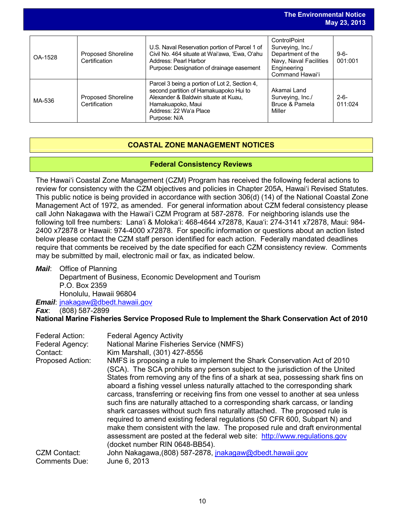|         |                                            |                                                                                                                                                                                                | The Environmental Notice                                                                                          | May 23, 2013         |
|---------|--------------------------------------------|------------------------------------------------------------------------------------------------------------------------------------------------------------------------------------------------|-------------------------------------------------------------------------------------------------------------------|----------------------|
| OA-1528 | <b>Proposed Shoreline</b><br>Certification | U.S. Naval Reservation portion of Parcel 1 of<br>Civil No. 464 situate at Wai'awa. 'Ewa. O'ahu<br>Address: Pearl Harbor<br>Purpose: Designation of drainage easement                           | ControlPoint<br>Surveying, Inc./<br>Department of the<br>Navy, Naval Facilities<br>Engineering<br>Command Hawai'i | $9 - 6 -$<br>001:001 |
| MA-536  | Proposed Shoreline<br>Certification        | Parcel 3 being a portion of Lot 2, Section 4,<br>second partition of Hamakuapoko Hui to<br>Alexander & Baldwin situate at Kuau.<br>Hamakuapoko, Maui<br>Address: 22 Wa'a Place<br>Purpose: N/A | Akamai Land<br>Surveying, Inc./<br>Bruce & Pamela<br>Miller                                                       | $2 - 6 -$<br>011:024 |

# **COASTAL ZONE MANAGEMENT NOTICES**

# **Federal Consistency Reviews**

The Hawaiʻi Coastal Zone Management (CZM) Program has received the following federal actions to review for consistency with the CZM objectives and policies in Chapter 205A, Hawaiʻi Revised Statutes. This public notice is being provided in accordance with section 306(d) (14) of the National Coastal Zone Management Act of 1972, as amended. For general information about CZM federal consistency please call John Nakagawa with the Hawaiʻi CZM Program at 587-2878. For neighboring islands use the following toll free numbers: Lanaʻi & Molokaʻi: 468-4644 x72878, Kauaʻi: 274-3141 x72878, Maui: 984- 2400 x72878 or Hawaii: 974-4000 x72878. For specific information or questions about an action listed below please contact the CZM staff person identified for each action. Federally mandated deadlines require that comments be received by the date specified for each CZM consistency review. Comments may be submitted by mail, electronic mail or fax, as indicated below.

*Mail*: Office of Planning

Department of Business, Economic Development and Tourism P.O. Box 2359 Honolulu, Hawaii 96804

*Email*: [jnakagaw@dbedt.hawaii.gov](mailto:jnakagaw@dbedt.hawaii.gov)

*Fax*: (808) 587-2899

**National Marine Fisheries Service Proposed Rule to Implement the Shark Conservation Act of 2010**

| Federal Action:     | <b>Federal Agency Activity</b>                                                                                                                                                                                                                                                                                                                                                                                                                                                                                                                                                                                                                                                                                                                                                                                                                                |
|---------------------|---------------------------------------------------------------------------------------------------------------------------------------------------------------------------------------------------------------------------------------------------------------------------------------------------------------------------------------------------------------------------------------------------------------------------------------------------------------------------------------------------------------------------------------------------------------------------------------------------------------------------------------------------------------------------------------------------------------------------------------------------------------------------------------------------------------------------------------------------------------|
| Federal Agency:     | National Marine Fisheries Service (NMFS)                                                                                                                                                                                                                                                                                                                                                                                                                                                                                                                                                                                                                                                                                                                                                                                                                      |
| Contact:            | Kim Marshall, (301) 427-8556                                                                                                                                                                                                                                                                                                                                                                                                                                                                                                                                                                                                                                                                                                                                                                                                                                  |
| Proposed Action:    | NMFS is proposing a rule to implement the Shark Conservation Act of 2010<br>(SCA). The SCA prohibits any person subject to the jurisdiction of the United<br>States from removing any of the fins of a shark at sea, possessing shark fins on<br>aboard a fishing vessel unless naturally attached to the corresponding shark<br>carcass, transferring or receiving fins from one vessel to another at sea unless<br>such fins are naturally attached to a corresponding shark carcass, or landing<br>shark carcasses without such fins naturally attached. The proposed rule is<br>required to amend existing federal regulations (50 CFR 600, Subpart N) and<br>make them consistent with the law. The proposed rule and draft environmental<br>assessment are posted at the federal web site: http://www.regulations.gov<br>(docket number RIN 0648-BB54). |
| <b>CZM Contact:</b> | John Nakagawa, (808) 587-2878, jnakagaw@dbedt.hawaii.gov                                                                                                                                                                                                                                                                                                                                                                                                                                                                                                                                                                                                                                                                                                                                                                                                      |
| Comments Due:       | June 6, 2013                                                                                                                                                                                                                                                                                                                                                                                                                                                                                                                                                                                                                                                                                                                                                                                                                                                  |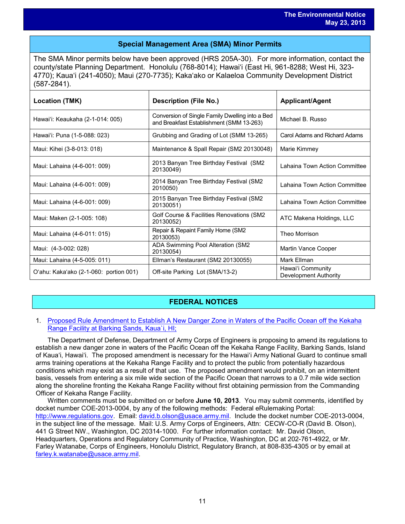# **Special Management Area (SMA) Minor Permits**

The SMA Minor permits below have been approved (HRS 205A-30). For more information, contact the county/state Planning Department. Honolulu (768-8014); Hawaiʻi (East Hi, 961-8288; West Hi, 323- 4770); Kauaʻi (241-4050); Maui (270-7735); Kakaʻako or Kalaeloa Community Development District (587-2841).

| <b>Location (TMK)</b>                  | <b>Description (File No.)</b>                                                               | <b>Applicant/Agent</b>                     |
|----------------------------------------|---------------------------------------------------------------------------------------------|--------------------------------------------|
| Hawai'i: Keaukaha (2-1-014: 005)       | Conversion of Single Family Dwelling into a Bed<br>and Breakfast Establishment (SMM 13-263) | Michael B. Russo                           |
| Hawai'i: Puna (1-5-088: 023)           | Grubbing and Grading of Lot (SMM 13-265)                                                    | Carol Adams and Richard Adams              |
| Maui: Kihei (3-8-013: 018)             | Maintenance & Spall Repair (SM2 20130048)                                                   | Marie Kimmey                               |
| Maui: Lahaina (4-6-001: 009)           | 2013 Banyan Tree Birthday Festival (SM2<br>20130049)                                        | Lahaina Town Action Committee              |
| Maui: Lahaina (4-6-001: 009)           | 2014 Banyan Tree Birthday Festival (SM2<br>2010050)                                         | Lahaina Town Action Committee              |
| Maui: Lahaina (4-6-001: 009)           | 2015 Banyan Tree Birthday Festival (SM2<br>20130051)                                        | Lahaina Town Action Committee              |
| Maui: Maken (2-1-005: 108)             | Golf Course & Facilities Renovations (SM2<br>20130052)                                      | ATC Makena Holdings, LLC                   |
| Maui: Lahaina (4-6-011: 015)           | Repair & Repaint Family Home (SM2<br>20130053)                                              | Theo Morrison                              |
| Maui: (4-3-002: 028)                   | ADA Swimming Pool Alteration (SM2<br>20130054)                                              | Martin Vance Cooper                        |
| Maui: Lahaina (4-5-005: 011)           | Ellman's Restaurant (SM2 20130055)                                                          | Mark Ellman                                |
| O'ahu: Kaka'ako (2-1-060: portion 001) | Off-site Parking Lot (SMA/13-2)                                                             | Hawai'i Community<br>Development Authority |

# **FEDERAL NOTICES**

#### 1. [Proposed Rule Amendment to Establish A New Danger Zone in Waters of the Pacific Ocean off the Kekaha](http://www.gpo.gov/fdsys/pkg/FR-2013-05-09/pdf/2013-11037.pdf)  [Range Facility at Barking Sands, Kaua`i, HI;](http://www.gpo.gov/fdsys/pkg/FR-2013-05-09/pdf/2013-11037.pdf)

The Department of Defense, Department of Army Corps of Engineers is proposing to amend its regulations to establish a new danger zone in waters of the Pacific Ocean off the Kekaha Range Facility, Barking Sands, Island of Kauaʻi, Hawaiʻi. The proposed amendment is necessary for the Hawaiʻi Army National Guard to continue small arms training operations at the Kekaha Range Facility and to protect the public from potentially hazardous conditions which may exist as a result of that use. The proposed amendment would prohibit, on an intermittent basis, vessels from entering a six mile wide section of the Pacific Ocean that narrows to a 0.7 mile wide section along the shoreline fronting the Kekaha Range Facility without first obtaining permission from the Commanding Officer of Kekaha Range Facility.

Written comments must be submitted on or before **June 10, 2013**. You may submit comments, identified by docket number COE-2013-0004, by any of the following methods: Federal eRulemaking Portal: [http://www.regulations.gov.](http://www.regulations.gov/) Email: [david.b.olson@usace.army.mil.](mailto:david.b.olson@usace.army.mil) Include the docket number COE-2013-0004, in the subject line of the message. Mail: U.S. Army Corps of Engineers, Attn: CECW-CO-R (David B. Olson), 441 G Street NW., Washington, DC 20314-1000. For further information contact: Mr. David Olson, Headquarters, Operations and Regulatory Community of Practice, Washington, DC at 202-761-4922, or Mr. Farley Watanabe, Corps of Engineers, Honolulu District, Regulatory Branch, at 808-835-4305 or by email at [farley.k.watanabe@usace.army.mil.](mailto:farley.k.watanabe@usace.army.mil)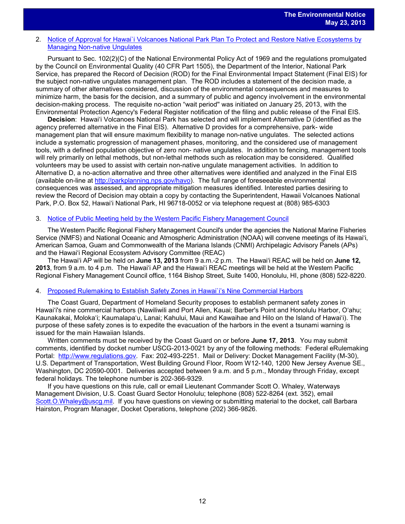#### 2. [Notice of Approval for Hawai`i Volcanoes National Park Plan To Protect and Restore Native Ecosystems by](http://www.gpo.gov/fdsys/pkg/FR-2013-05-14/pdf/2013-11447.pdf)  [Managing Non-native Ungulates](http://www.gpo.gov/fdsys/pkg/FR-2013-05-14/pdf/2013-11447.pdf)

Pursuant to Sec. 102(2)(C) of the National Environmental Policy Act of 1969 and the regulations promulgated by the Council on Environmental Quality (40 CFR Part 1505), the Department of the Interior, National Park Service, has prepared the Record of Decision (ROD) for the Final Environmental Impact Statement (Final EIS) for the subject non-native ungulates management plan. The ROD includes a statement of the decision made, a summary of other alternatives considered, discussion of the environmental consequences and measures to minimize harm, the basis for the decision, and a summary of public and agency involvement in the environmental decision-making process. The requisite no-action "wait period'' was initiated on January 25, 2013, with the Environmental Protection Agency's Federal Register notification of the filing and public release of the Final EIS.

**Decision**: Hawaiʻi Volcanoes National Park has selected and will implement Alternative D (identified as the agency preferred alternative in the Final EIS). Alternative D provides for a comprehensive, park- wide management plan that will ensure maximum flexibility to manage non-native ungulates. The selected actions include a systematic progression of management phases, monitoring, and the considered use of management tools, with a defined population objective of zero non- native ungulates. In addition to fencing, management tools will rely primarily on lethal methods, but non-lethal methods such as relocation may be considered. Qualified volunteers may be used to assist with certain non-native ungulate management activities. In addition to Alternative D, a no-action alternative and three other alternatives were identified and analyzed in the Final EIS (available on-line at [http://parkplanning.nps.gov/havo\)](http://parkplanning.nps.gov/havo). The full range of foreseeable environmental consequences was assessed, and appropriate mitigation measures identified. Interested parties desiring to review the Record of Decision may obtain a copy by contacting the Superintendent, Hawaii Volcanoes National Park, P.O. Box 52, Hawaiʻi National Park, HI 96718-0052 or via telephone request at (808) 985-6303

#### 3. Notice of Public Meeting held by the Western Pacific Fishery Management Council

The Western Pacific Regional Fishery Management Council's under the agencies the National Marine Fisheries Service (NMFS) and National Oceanic and Atmospheric Administration (NOAA) will convene meetings of its Hawaiʻi, American Samoa, Guam and Commonwealth of the Mariana Islands (CNMI) Archipelagic Advisory Panels (APs) and the Hawaiʻi Regional Ecosystem Advisory Committee (REAC)

The Hawaiʻi AP will be held on **June 13, 2013** from 9 a.m.-2 p.m. The Hawaiʻi REAC will be held on **June 12, 2013**, from 9 a.m. to 4 p.m. The Hawaiʻi AP and the Hawaiʻi REAC meetings will be held at the Western Pacific Regional Fishery Management Council office, 1164 Bishop Street, Suite 1400, Honolulu, HI, phone (808) 522-8220.

#### 4. [Proposed Rulemaking to Establish Safety Zones](http://www.gpo.gov/fdsys/pkg/FR-2013-05-17/pdf/2013-11753.pdf) in Hawai`i's Nine Commercial Harbors

The Coast Guard, Department of Homeland Security proposes to establish permanent safety zones in Hawaiʻi's nine commercial harbors (Nawiliwili and Port Allen, Kauai; Barber's Point and Honolulu Harbor, Oʻahu; Kaunakakai, Molokaʻi; Kaumalapaʻu, Lanai; Kahului, Maui and Kawaihae and Hilo on the Island of Hawaiʻi). The purpose of these safety zones is to expedite the evacuation of the harbors in the event a tsunami warning is issued for the main Hawaiian Islands.

Written comments must be received by the Coast Guard on or before **June 17, 2013**. You may submit comments, identified by docket number USCG-2013-0021 by any of the following methods: Federal eRulemaking Portal: [http://www.regulations.gov.](http://www.regulations.gov/) Fax: 202-493-2251. Mail or Delivery: Docket Management Facility (M-30), U.S. Department of Transportation, West Building Ground Floor, Room W12-140, 1200 New Jersey Avenue SE., Washington, DC 20590-0001. Deliveries accepted between 9 a.m. and 5 p.m., Monday through Friday, except federal holidays. The telephone number is 202-366-9329.

If you have questions on this rule, call or email Lieutenant Commander Scott O. Whaley, Waterways Management Division, U.S. Coast Guard Sector Honolulu; telephone (808) 522-8264 (ext. 352), email [Scott.O.Whaley@uscg.mil.](mailto:Scott.O.Whaley@uscg.mil) If you have questions on viewing or submitting material to the docket, call Barbara Hairston, Program Manager, Docket Operations, telephone (202) 366-9826.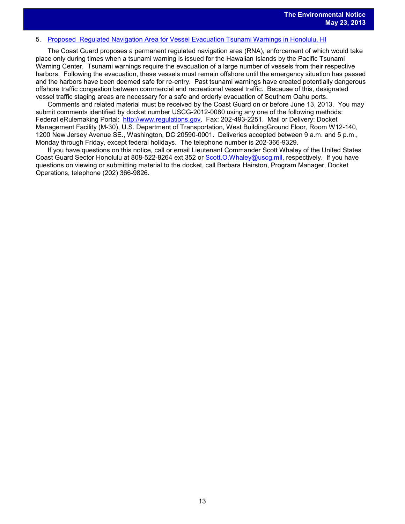#### 5. [Proposed Regulated Navigation Area for Vessel Evacuation](http://www.gpo.gov/fdsys/pkg/FR-2013-05-14/pdf/2013-11233.pdf) Tsunami Warnings in Honolulu, HI

The Coast Guard proposes a permanent regulated navigation area (RNA), enforcement of which would take place only during times when a tsunami warning is issued for the Hawaiian Islands by the Pacific Tsunami Warning Center. Tsunami warnings require the evacuation of a large number of vessels from their respective harbors. Following the evacuation, these vessels must remain offshore until the emergency situation has passed and the harbors have been deemed safe for re-entry. Past tsunami warnings have created potentially dangerous offshore traffic congestion between commercial and recreational vessel traffic. Because of this, designated vessel traffic staging areas are necessary for a safe and orderly evacuation of Southern Oahu ports.

Comments and related material must be received by the Coast Guard on or before June 13, 2013. You may submit comments identified by docket number USCG-2012-0080 using any one of the following methods: Federal eRulemaking Portal: [http://www.regulations.gov.](http://www.regulations.gov/) Fax: 202-493-2251. Mail or Delivery: Docket Management Facility (M-30), U.S. Department of Transportation, West BuildingGround Floor, Room W12-140, 1200 New Jersey Avenue SE., Washington, DC 20590-0001. Deliveries accepted between 9 a.m. and 5 p.m., Monday through Friday, except federal holidays. The telephone number is 202-366-9329.

If you have questions on this notice, call or email Lieutenant Commander Scott Whaley of the United States Coast Guard Sector Honolulu at 808-522-8264 ext.352 or [Scott.O.Whaley@uscg.mil,](mailto:Scott.O.Whaley@uscg.mil) respectively. If you have questions on viewing or submitting material to the docket, call Barbara Hairston, Program Manager, Docket Operations, telephone (202) 366-9826.